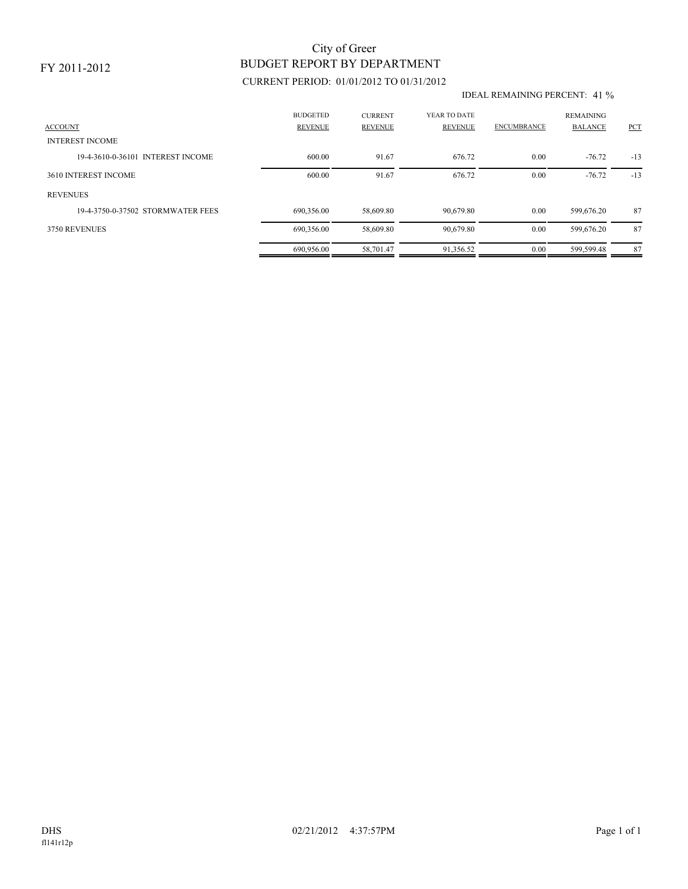### FY 2011-2012

# BUDGET REPORT BY DEPARTMENT City of Greer

## CURRENT PERIOD: 01/01/2012 TO 01/31/2012

#### IDEAL REMAINING PERCENT: 41 %

| <b>ACCOUNT</b>                    | <b>BUDGETED</b><br><b>REVENUE</b> | <b>CURRENT</b><br><b>REVENUE</b> | YEAR TO DATE<br>REVENUE | <b>ENCUMBRANCE</b> | <b>REMAINING</b><br><b>BALANCE</b> | PCT   |
|-----------------------------------|-----------------------------------|----------------------------------|-------------------------|--------------------|------------------------------------|-------|
| <b>INTEREST INCOME</b>            |                                   |                                  |                         |                    |                                    |       |
| 19-4-3610-0-36101 INTEREST INCOME | 600.00                            | 91.67                            | 676.72                  | 0.00               | $-76.72$                           | $-13$ |
| 3610 INTEREST INCOME              | 600.00                            | 91.67                            | 676.72                  | 0.00               | $-76.72$                           | $-13$ |
| <b>REVENUES</b>                   |                                   |                                  |                         |                    |                                    |       |
| 19-4-3750-0-37502 STORMWATER FEES | 690,356.00                        | 58,609.80                        | 90,679.80               | 0.00               | 599,676.20                         | 87    |
| 3750 REVENUES                     | 690,356.00                        | 58,609.80                        | 90,679.80               | 0.00               | 599,676.20                         | 87    |
|                                   | 690.956.00                        | 58.701.47                        | 91.356.52               | 0.00               | 599,599.48                         | 87    |